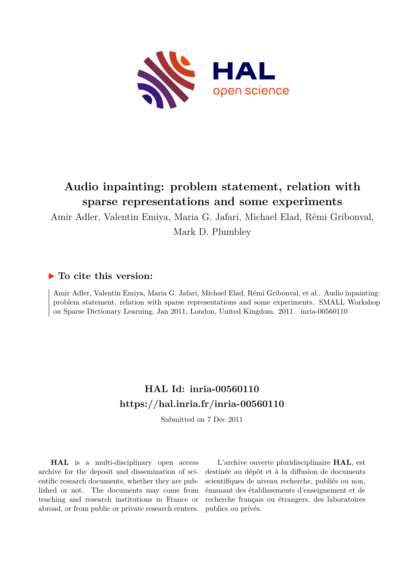

#### **Audio inpainting: problem statement, relation with sparse representations and some experiments**

Amir Adler, Valentin Emiya, Maria G. Jafari, Michael Elad, Rémi Gribonval,

Mark D. Plumbley

#### **To cite this version:**

Amir Adler, Valentin Emiya, Maria G. Jafari, Michael Elad, Rémi Gribonval, et al.. Audio inpainting: problem statement, relation with sparse representations and some experiments. SMALL Workshop on Sparse Dictionary Learning, Jan 2011, London, United Kingdom. 2011. inria-00560110

#### **HAL Id: inria-00560110 <https://hal.inria.fr/inria-00560110>**

Submitted on 7 Dec 2011

**HAL** is a multi-disciplinary open access archive for the deposit and dissemination of scientific research documents, whether they are published or not. The documents may come from teaching and research institutions in France or abroad, or from public or private research centers.

L'archive ouverte pluridisciplinaire **HAL**, est destinée au dépôt et à la diffusion de documents scientifiques de niveau recherche, publiés ou non, émanant des établissements d'enseignement et de recherche français ou étrangers, des laboratoires publics ou privés.